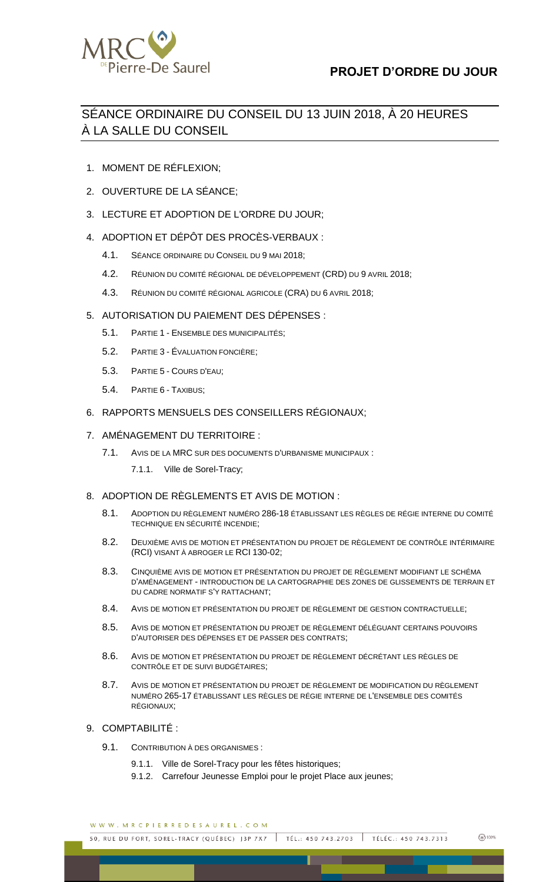

## **PROJET D'ORDRE DU JOUR**

# SÉANCE ORDINAIRE DU CONSEIL DU 13 JUIN 2018, À 20 HEURES À LA SALLE DU CONSEIL

- 1. MOMENT DE RÉFLEXION;
- 2. OUVERTURE DE LA SÉANCE;
- 3. LECTURE ET ADOPTION DE L'ORDRE DU JOUR;
- 4. ADOPTION ET DÉPÔT DES PROCÈS-VERBAUX :
	- 4.1. SÉANCE ORDINAIRE DU CONSEIL DU 9 MAI 2018;
	- 4.2. RÉUNION DU COMITÉ RÉGIONAL DE DÉVELOPPEMENT (CRD) DU 9 AVRIL 2018;
	- 4.3. RÉUNION DU COMITÉ RÉGIONAL AGRICOLE (CRA) DU 6 AVRIL 2018;
- 5. AUTORISATION DU PAIEMENT DES DÉPENSES :
	- 5.1. PARTIE 1 ENSEMBLE DES MUNICIPALITÉS;
	- 5.2. PARTIE 3 ÉVALUATION FONCIÈRE;
	- 5.3. PARTIE 5 COURS D'EAU;
	- 5.4. PARTIE 6 TAXIBUS;
- 6. RAPPORTS MENSUELS DES CONSEILLERS RÉGIONAUX;

## 7. AMÉNAGEMENT DU TERRITOIRE :

- 7.1. AVIS DE LA MRC SUR DES DOCUMENTS D'URBANISME MUNICIPAUX :
	- 7.1.1. Ville de Sorel-Tracy;

#### 8. ADOPTION DE RÈGLEMENTS ET AVIS DE MOTION :

- 8.1. ADOPTION DU RÈGLEMENT NUMÉRO 286-18 ÉTABLISSANT LES RÈGLES DE RÉGIE INTERNE DU COMITÉ TECHNIQUE EN SÉCURITÉ INCENDIE;
- 8.2. DEUXIÈME AVIS DE MOTION ET PRÉSENTATION DU PROJET DE RÈGLEMENT DE CONTRÔLE INTÉRIMAIRE (RCI) VISANT À ABROGER LE RCI 130-02;
- 8.3. CINQUIÈME AVIS DE MOTION ET PRÉSENTATION DU PROJET DE RÈGLEMENT MODIFIANT LE SCHÉMA D'AMÉNAGEMENT - INTRODUCTION DE LA CARTOGRAPHIE DES ZONES DE GLISSEMENTS DE TERRAIN ET DU CADRE NORMATIF S'Y RATTACHANT;
- 8.4. AVIS DE MOTION ET PRÉSENTATION DU PROJET DE RÈGLEMENT DE GESTION CONTRACTUELLE;
- 8.5. AVIS DE MOTION ET PRÉSENTATION DU PROJET DE RÈGLEMENT DÉLÉGUANT CERTAINS POUVOIRS D'AUTORISER DES DÉPENSES ET DE PASSER DES CONTRATS;
- 8.6. AVIS DE MOTION ET PRÉSENTATION DU PROJET DE RÈGLEMENT DÉCRÉTANT LES RÈGLES DE CONTRÔLE ET DE SUIVI BUDGÉTAIRES;
- 8.7. AVIS DE MOTION ET PRÉSENTATION DU PROJET DE RÈGLEMENT DE MODIFICATION DU RÈGLEMENT NUMÉRO 265-17 ÉTABLISSANT LES RÈGLES DE RÉGIE INTERNE DE L'ENSEMBLE DES COMITÉS RÉGIONAUX;

## 9. COMPTABILITÉ :

- 9.1. CONTRIBUTION À DES ORGANISMES :
	- 9.1.1. Ville de Sorel-Tracy pour les fêtes historiques;
	- 9.1.2. Carrefour Jeunesse Emploi pour le projet Place aux jeunes;

WWW.MRCPIERREDESAUREL.COM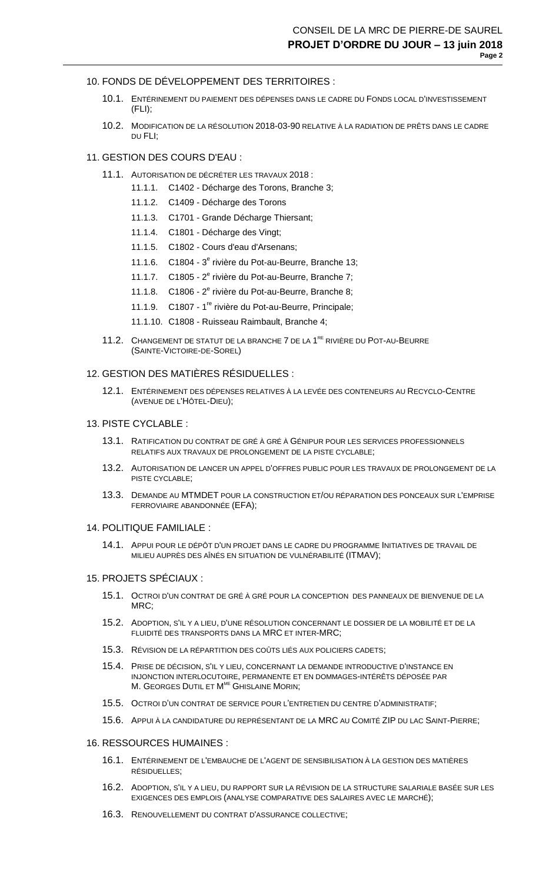## 10. FONDS DE DÉVELOPPEMENT DES TERRITOIRES :

- 10.1. ENTÉRINEMENT DU PAIEMENT DES DÉPENSES DANS LE CADRE DU FONDS LOCAL D'INVESTISSEMENT (FLI);
- 10.2. MODIFICATION DE LA RÉSOLUTION 2018-03-90 RELATIVE À LA RADIATION DE PRÊTS DANS LE CADRE DU FLI;

## 11. GESTION DES COURS D'EAU :

- 11.1. AUTORISATION DE DÉCRÉTER LES TRAVAUX 2018 :
	- 11.1.1. C1402 Décharge des Torons, Branche 3;
	- 11.1.2. C1409 Décharge des Torons
	- 11.1.3. C1701 Grande Décharge Thiersant;
	- 11.1.4. C1801 Décharge des Vingt;
	- 11.1.5. C1802 Cours d'eau d'Arsenans;
	- 11.1.6. C1804 3<sup>e</sup> rivière du Pot-au-Beurre, Branche 13;
	- 11.1.7. C1805 2<sup>e</sup> rivière du Pot-au-Beurre, Branche 7;
	- 11.1.8. C1806 2<sup>e</sup> rivière du Pot-au-Beurre, Branche 8;
	- 11.1.9. C1807 1<sup>re</sup> rivière du Pot-au-Beurre, Principale;
	- 11.1.10. C1808 Ruisseau Raimbault, Branche 4;
- 11.2. CHANGEMENT DE STATUT DE LA BRANCHE 7 DE LA 1<sup>RE</sup> RIVIÈRE DU POT-AU-BEURRE (SAINTE-VICTOIRE-DE-SOREL)

## 12. GESTION DES MATIÈRES RÉSIDUELLES :

12.1. ENTÉRINEMENT DES DÉPENSES RELATIVES À LA LEVÉE DES CONTENEURS AU RECYCLO-CENTRE (AVENUE DE L'HÔTEL-DIEU);

## 13. PISTE CYCLABLE :

- 13.1. RATIFICATION DU CONTRAT DE GRÉ À GRÉ À GÉNIPUR POUR LES SERVICES PROFESSIONNELS RELATIFS AUX TRAVAUX DE PROLONGEMENT DE LA PISTE CYCLABLE;
- 13.2. AUTORISATION DE LANCER UN APPEL D'OFFRES PUBLIC POUR LES TRAVAUX DE PROLONGEMENT DE LA PISTE CYCLABLE;
- 13.3. DEMANDE AU MTMDET POUR LA CONSTRUCTION ET/OU RÉPARATION DES PONCEAUX SUR L'EMPRISE FERROVIAIRE ABANDONNÉE (EFA);

#### 14. POLITIQUE FAMILIALE :

14.1. APPUI POUR LE DÉPÔT D'UN PROJET DANS LE CADRE DU PROGRAMME INITIATIVES DE TRAVAIL DE MILIEU AUPRÈS DES AÎNÉS EN SITUATION DE VULNÉRABILITÉ (ITMAV);

#### 15. PROJETS SPÉCIAUX :

- 15.1. OCTROI D'UN CONTRAT DE GRÉ À GRÉ POUR LA CONCEPTION DES PANNEAUX DE BIENVENUE DE LA MRC;
- 15.2. ADOPTION, S'IL Y A LIEU, D'UNE RÉSOLUTION CONCERNANT LE DOSSIER DE LA MOBILITÉ ET DE LA FLUIDITÉ DES TRANSPORTS DANS LA MRC ET INTER-MRC;
- 15.3. RÉVISION DE LA RÉPARTITION DES COÛTS LIÉS AUX POLICIERS CADETS;
- 15.4. PRISE DE DÉCISION, S'IL Y LIEU, CONCERNANT LA DEMANDE INTRODUCTIVE D'INSTANCE EN INJONCTION INTERLOCUTOIRE, PERMANENTE ET EN DOMMAGES-INTÉRÊTS DÉPOSÉE PAR M. GEORGES DUTIL ET M<sup>ME</sup> GHISLAINE MORIN;
- 15.5. OCTROI D'UN CONTRAT DE SERVICE POUR L'ENTRETIEN DU CENTRE D'ADMINISTRATIF;
- 15.6. APPUI À LA CANDIDATURE DU REPRÉSENTANT DE LA MRC AU COMITÉ ZIP DU LAC SAINT-PIERRE;

#### 16. RESSOURCES HUMAINES :

- 16.1. ENTÉRINEMENT DE L'EMBAUCHE DE L'AGENT DE SENSIBILISATION À LA GESTION DES MATIÈRES RÉSIDUELLES;
- 16.2. ADOPTION, S'IL Y A LIEU, DU RAPPORT SUR LA RÉVISION DE LA STRUCTURE SALARIALE BASÉE SUR LES EXIGENCES DES EMPLOIS (ANALYSE COMPARATIVE DES SALAIRES AVEC LE MARCHÉ);
- 16.3. RENOUVELLEMENT DU CONTRAT D'ASSURANCE COLLECTIVE;